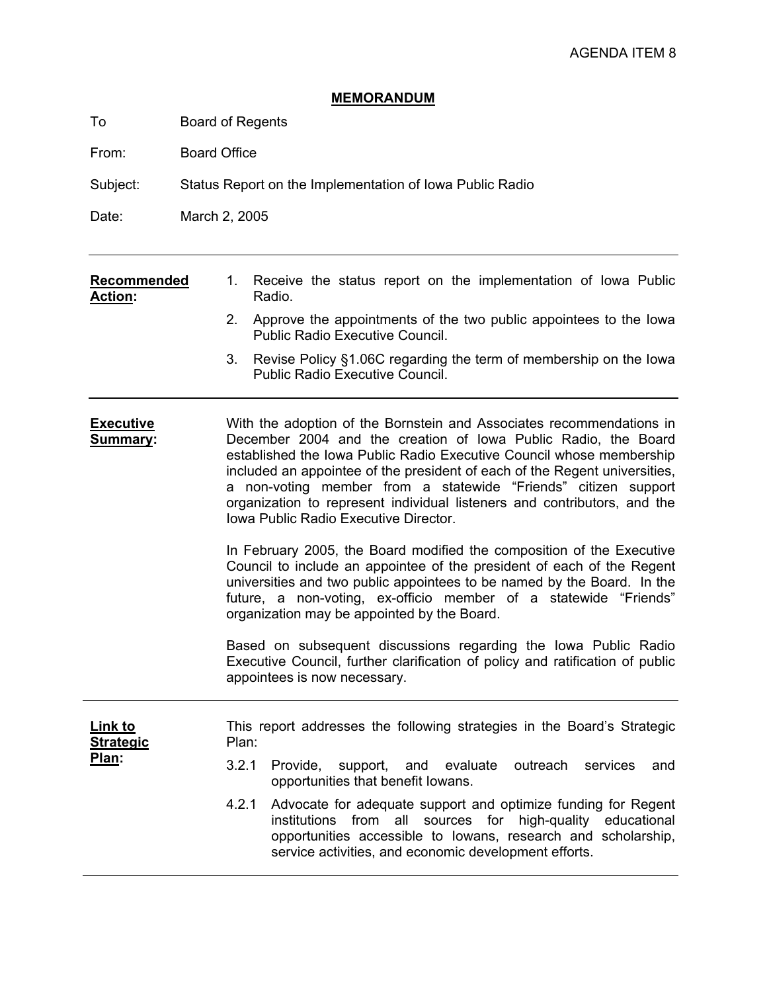# **MEMORANDUM**

To Board of Regents

From: Board Office

Subject: Status Report on the Implementation of Iowa Public Radio

Date: March 2, 2005

| Recommended    |        |  |  | 1. Receive the status report on the implementation of lowa Public |  |  |
|----------------|--------|--|--|-------------------------------------------------------------------|--|--|
| <b>Action:</b> | Radio. |  |  |                                                                   |  |  |

- 2. Approve the appointments of the two public appointees to the Iowa Public Radio Executive Council.
- 3. Revise Policy §1.06C regarding the term of membership on the Iowa Public Radio Executive Council.

**Executive Summary:** With the adoption of the Bornstein and Associates recommendations in December 2004 and the creation of Iowa Public Radio, the Board established the Iowa Public Radio Executive Council whose membership included an appointee of the president of each of the Regent universities, a non-voting member from a statewide "Friends" citizen support organization to represent individual listeners and contributors, and the Iowa Public Radio Executive Director.

> In February 2005, the Board modified the composition of the Executive Council to include an appointee of the president of each of the Regent universities and two public appointees to be named by the Board. In the future, a non-voting, ex-officio member of a statewide "Friends" organization may be appointed by the Board.

> Based on subsequent discussions regarding the Iowa Public Radio Executive Council, further clarification of policy and ratification of public appointees is now necessary.

| Link to<br><b>Strategic</b><br>Plan: | This report addresses the following strategies in the Board's Strategic<br>Plan: |                                                                                                                                                                                                                                                             |  |  |  |  |  |  |
|--------------------------------------|----------------------------------------------------------------------------------|-------------------------------------------------------------------------------------------------------------------------------------------------------------------------------------------------------------------------------------------------------------|--|--|--|--|--|--|
|                                      |                                                                                  | 3.2.1 Provide, support, and evaluate outreach services<br>and<br>opportunities that benefit lowans.                                                                                                                                                         |  |  |  |  |  |  |
|                                      |                                                                                  | 4.2.1 Advocate for adequate support and optimize funding for Regent<br>institutions from all sources for high-quality educational<br>opportunities accessible to lowans, research and scholarship,<br>service activities, and economic development efforts. |  |  |  |  |  |  |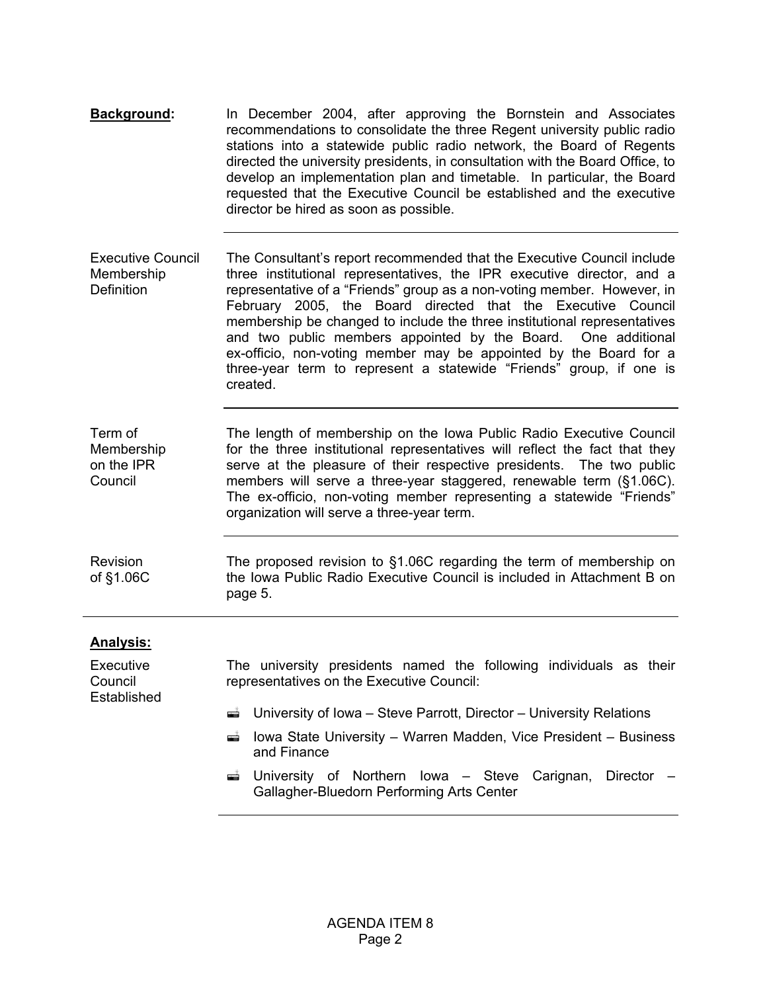| Background: | In December 2004, after approving the Bornstein and Associates                                                  |
|-------------|-----------------------------------------------------------------------------------------------------------------|
|             | recommendations to consolidate the three Regent university public radio                                         |
|             | stations into a statewide public radio network, the Board of Regents                                            |
|             | directed the university presidents, in consultation with the Board Office, to                                   |
|             | develop an implementation plan and timetable. In particular, the Board                                          |
|             | requested that the Executive Council be established and the executive<br>director be hired as soon as possible. |

- Executive Council Membership **Definition** The Consultant's report recommended that the Executive Council include three institutional representatives, the IPR executive director, and a representative of a "Friends" group as a non-voting member. However, in February 2005, the Board directed that the Executive Council membership be changed to include the three institutional representatives and two public members appointed by the Board. One additional ex-officio, non-voting member may be appointed by the Board for a three-year term to represent a statewide "Friends" group, if one is created.
- Term of Membership on the IPR Council The length of membership on the Iowa Public Radio Executive Council for the three institutional representatives will reflect the fact that they serve at the pleasure of their respective presidents. The two public members will serve a three-year staggered, renewable term (§1.06C). The ex-officio, non-voting member representing a statewide "Friends" organization will serve a three-year term.

Revision of §1.06C The proposed revision to §1.06C regarding the term of membership on the Iowa Public Radio Executive Council is included in Attachment B on page 5.

## **Analysis:**

Executive Council Established

- The university presidents named the following individuals as their representatives on the Executive Council:
- University of Iowa Steve Parrott, Director University Relations
- Iowa State University Warren Madden, Vice President Business and Finance
- University of Northern Iowa Steve Carignan, Director Gallagher-Bluedorn Performing Arts Center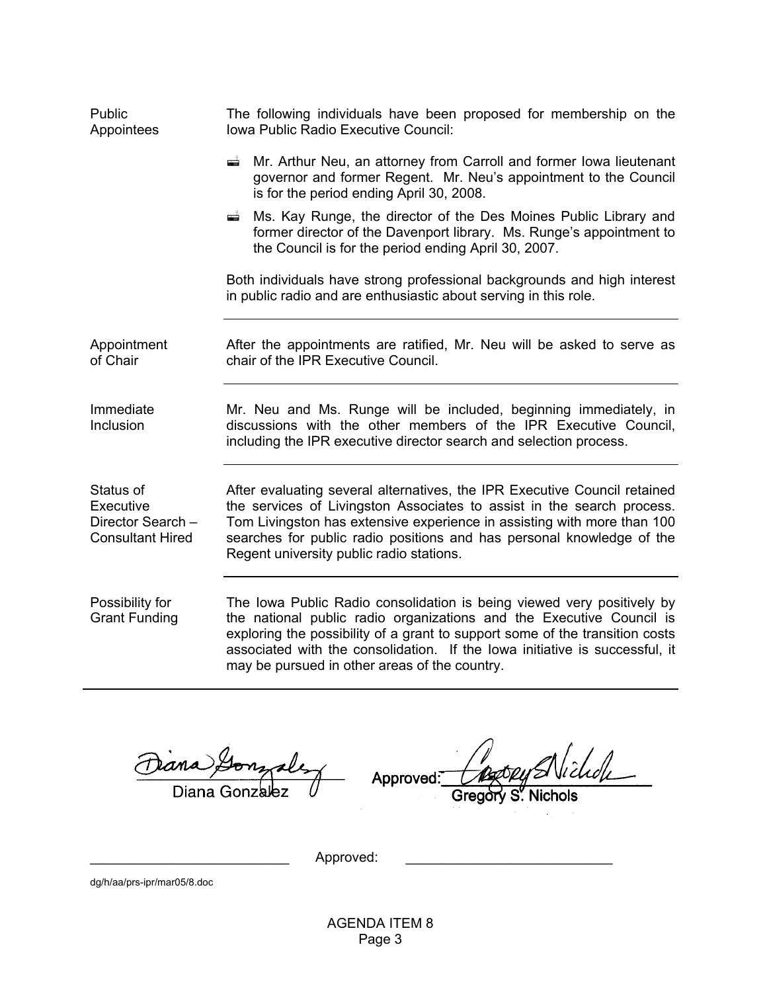| Public<br>Appointees                                                   | The following individuals have been proposed for membership on the<br>Iowa Public Radio Executive Council:                                                                                                                                                                                                                                                     |  |  |  |
|------------------------------------------------------------------------|----------------------------------------------------------------------------------------------------------------------------------------------------------------------------------------------------------------------------------------------------------------------------------------------------------------------------------------------------------------|--|--|--|
|                                                                        | Mr. Arthur Neu, an attorney from Carroll and former Iowa lieutenant<br>æÎ.<br>governor and former Regent. Mr. Neu's appointment to the Council<br>is for the period ending April 30, 2008.                                                                                                                                                                     |  |  |  |
|                                                                        | Ms. Kay Runge, the director of the Des Moines Public Library and<br>$\frac{1}{\sqrt{2}}$<br>former director of the Davenport library. Ms. Runge's appointment to<br>the Council is for the period ending April 30, 2007.                                                                                                                                       |  |  |  |
|                                                                        | Both individuals have strong professional backgrounds and high interest<br>in public radio and are enthusiastic about serving in this role.                                                                                                                                                                                                                    |  |  |  |
| Appointment<br>of Chair                                                | After the appointments are ratified, Mr. Neu will be asked to serve as<br>chair of the IPR Executive Council.                                                                                                                                                                                                                                                  |  |  |  |
| Immediate<br>Inclusion                                                 | Mr. Neu and Ms. Runge will be included, beginning immediately, in<br>discussions with the other members of the IPR Executive Council,<br>including the IPR executive director search and selection process.                                                                                                                                                    |  |  |  |
| Status of<br>Executive<br>Director Search -<br><b>Consultant Hired</b> | After evaluating several alternatives, the IPR Executive Council retained<br>the services of Livingston Associates to assist in the search process.<br>Tom Livingston has extensive experience in assisting with more than 100<br>searches for public radio positions and has personal knowledge of the<br>Regent university public radio stations.            |  |  |  |
| Possibility for<br><b>Grant Funding</b>                                | The Iowa Public Radio consolidation is being viewed very positively by<br>the national public radio organizations and the Executive Council is<br>exploring the possibility of a grant to support some of the transition costs<br>associated with the consolidation. If the lowa initiative is successful, it<br>may be pursued in other areas of the country. |  |  |  |

ans Diana Gonzalez

lichdh Approved:

Gregory S. Nichols

Approved:

dg/h/aa/prs-ipr/mar05/8.doc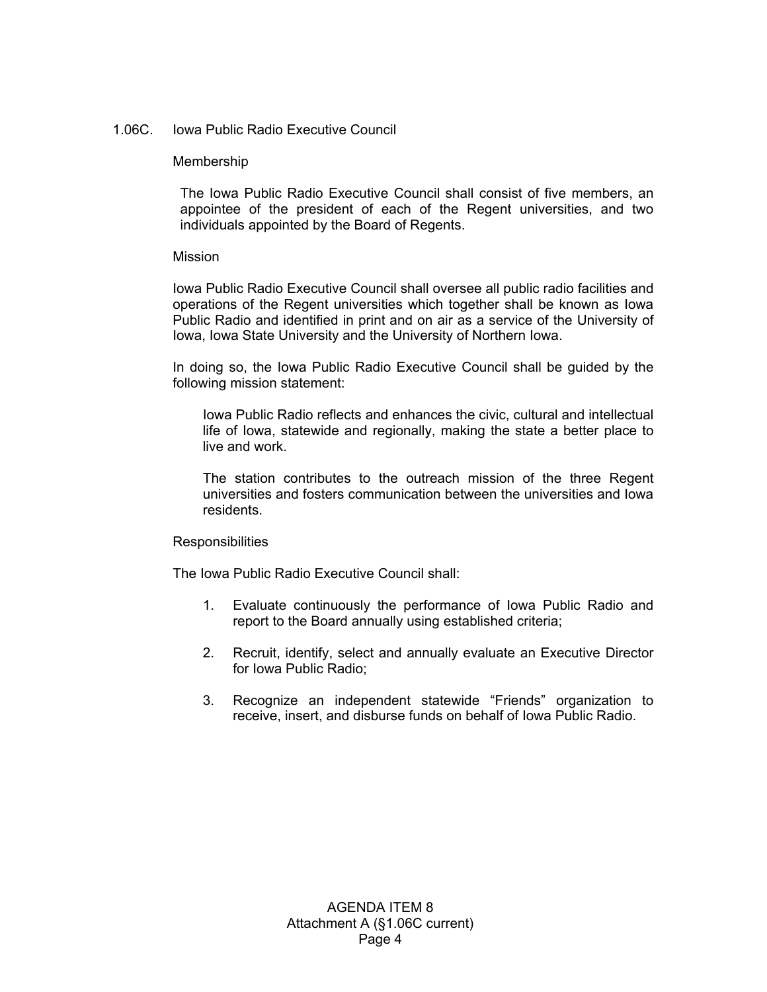### 1.06C. Iowa Public Radio Executive Council

#### Membership

The Iowa Public Radio Executive Council shall consist of five members, an appointee of the president of each of the Regent universities, and two individuals appointed by the Board of Regents.

#### Mission

Iowa Public Radio Executive Council shall oversee all public radio facilities and operations of the Regent universities which together shall be known as Iowa Public Radio and identified in print and on air as a service of the University of Iowa, Iowa State University and the University of Northern Iowa.

In doing so, the Iowa Public Radio Executive Council shall be guided by the following mission statement:

Iowa Public Radio reflects and enhances the civic, cultural and intellectual life of Iowa, statewide and regionally, making the state a better place to live and work.

The station contributes to the outreach mission of the three Regent universities and fosters communication between the universities and Iowa residents.

#### **Responsibilities**

The Iowa Public Radio Executive Council shall:

- 1. Evaluate continuously the performance of Iowa Public Radio and report to the Board annually using established criteria;
- 2. Recruit, identify, select and annually evaluate an Executive Director for Iowa Public Radio;
- 3. Recognize an independent statewide "Friends" organization to receive, insert, and disburse funds on behalf of Iowa Public Radio.